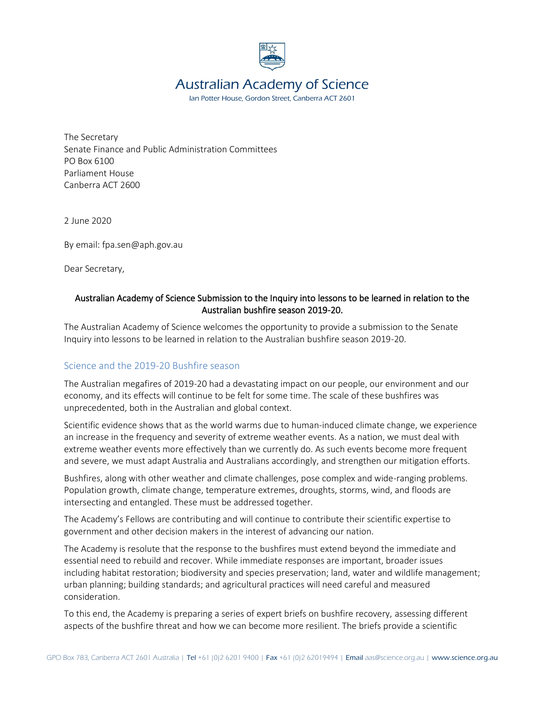

# Australian Academy of Science

Ian Potter House, Gordon Street, Canberra ACT 2601

The Secretary Senate Finance and Public Administration Committees PO Box 6100 Parliament House Canberra ACT 2600

2 June 2020

By email: fpa.sen@aph.gov.au

Dear Secretary,

## Australian Academy of Science Submission to the Inquiry into lessons to be learned in relation to the Australian bushfire season 2019-20.

The Australian Academy of Science welcomes the opportunity to provide a submission to the Senate Inquiry into lessons to be learned in relation to the Australian bushfire season 2019-20.

## Science and the 2019-20 Bushfire season

The Australian megafires of 2019-20 had a devastating impact on our people, our environment and our economy, and its effects will continue to be felt for some time. The scale of these bushfires was unprecedented, both in the Australian and global context.

Scientific evidence shows that as the world warms due to human-induced climate change, we experience an increase in the frequency and severity of extreme weather events. As a nation, we must deal with extreme weather events more effectively than we currently do. As such events become more frequent and severe, we must adapt Australia and Australians accordingly, and strengthen our mitigation efforts.

Bushfires, along with other weather and climate challenges, pose complex and wide-ranging problems. Population growth, climate change, temperature extremes, droughts, storms, wind, and floods are intersecting and entangled. These must be addressed together.

The Academy's Fellows are contributing and will continue to contribute their scientific expertise to government and other decision makers in the interest of advancing our nation.

The Academy is resolute that the response to the bushfires must extend beyond the immediate and essential need to rebuild and recover. While immediate responses are important, broader issues including habitat restoration; biodiversity and species preservation; land, water and wildlife management; urban planning; building standards; and agricultural practices will need careful and measured consideration.

To this end, the Academy is preparing a series of expert briefs on bushfire recovery, assessing different aspects of the bushfire threat and how we can become more resilient. The briefs provide a scientific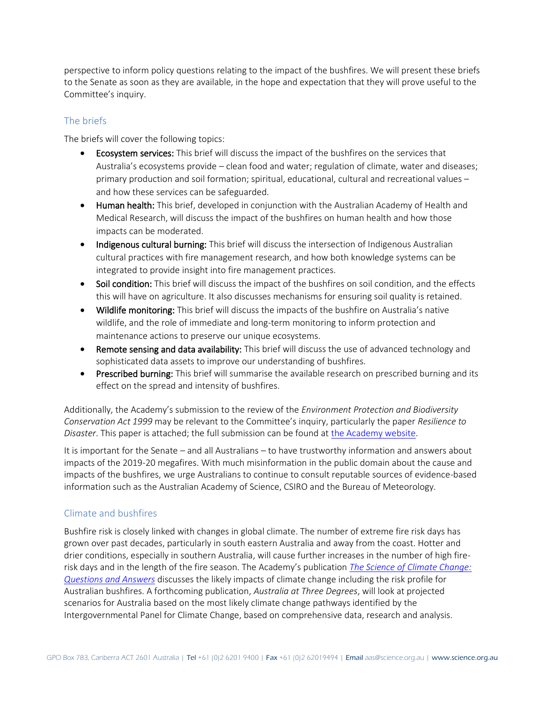perspective to inform policy questions relating to the impact of the bushfires. We will present these briefs to the Senate as soon as they are available, in the hope and expectation that they will prove useful to the Committee's inquiry.

# The briefs

The briefs will cover the following topics:

- **Ecosystem services:** This brief will discuss the impact of the bushfires on the services that Australia's ecosystems provide – clean food and water; regulation of climate, water and diseases; primary production and soil formation; spiritual, educational, cultural and recreational values – and how these services can be safeguarded.
- Human health: This brief, developed in conjunction with the Australian Academy of Health and Medical Research, will discuss the impact of the bushfires on human health and how those impacts can be moderated.
- Indigenous cultural burning: This brief will discuss the intersection of Indigenous Australian cultural practices with fire management research, and how both knowledge systems can be integrated to provide insight into fire management practices.
- Soil condition: This brief will discuss the impact of the bushfires on soil condition, and the effects this will have on agriculture. It also discusses mechanisms for ensuring soil quality is retained.
- Wildlife monitoring: This brief will discuss the impacts of the bushfire on Australia's native wildlife, and the role of immediate and long-term monitoring to inform protection and maintenance actions to preserve our unique ecosystems.
- Remote sensing and data availability: This brief will discuss the use of advanced technology and sophisticated data assets to improve our understanding of bushfires.
- Prescribed burning: This brief will summarise the available research on prescribed burning and its effect on the spread and intensity of bushfires.

Additionally, the Academy's submission to the review of the *Environment Protection and Biodiversity Conservation Act 1999* may be relevant to the Committee's inquiry, particularly the paper *Resilience to Disaster*. This paper is attached; the full submission can be found at [the Academy website.](https://www.science.org.au/supporting-science/science-policy-and-analysis/submissions-government/independent-review-epbc-act)

It is important for the Senate – and all Australians – to have trustworthy information and answers about impacts of the 2019-20 megafires. With much misinformation in the public domain about the cause and impacts of the bushfires, we urge Australians to continue to consult reputable sources of evidence-based information such as the Australian Academy of Science, CSIRO and the Bureau of Meteorology.

## Climate and bushfires

Bushfire risk is closely linked with changes in global climate. The number of extreme fire risk days has grown over past decades, particularly in south eastern Australia and away from the coast. Hotter and drier conditions, especially in southern Australia, will cause further increases in the number of high firerisk days and in the length of the fire season. The Academy's publication *[The Science of Climate Change:](https://www.science.org.au/education/immunisation-climate-change-genetic-modification/science-climate-change)  [Questions and Answers](https://www.science.org.au/education/immunisation-climate-change-genetic-modification/science-climate-change)* discusses the likely impacts of climate change including the risk profile for Australian bushfires. A forthcoming publication, *Australia at Three Degrees*, will look at projected scenarios for Australia based on the most likely climate change pathways identified by the Intergovernmental Panel for Climate Change, based on comprehensive data, research and analysis.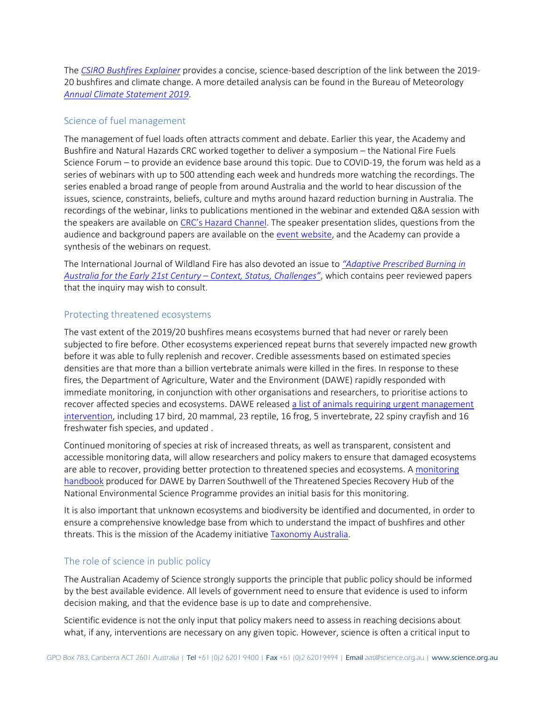The *[CSIRO Bushfires Explainer](https://www.csiro.au/en/Research/Environment/Extreme-Events/Bushfire/preparing-for-climate-change/2019-20-bushfires-explainer)* provides a concise, science-based description of the link between the 2019- 20 bushfires and climate change. A more detailed analysis can be found in the Bureau of Meteorology *[Annual Climate Statement 2019](http://www.bom.gov.au/climate/current/annual/aus/)*.

## Science of fuel management

The management of fuel loads often attracts comment and debate. Earlier this year, the Academy and Bushfire and Natural Hazards CRC worked together to deliver a symposium – the National Fire Fuels Science Forum – to provide an evidence base around this topic. Due to COVID-19, the forum was held as a series of webinars with up to 500 attending each week and hundreds more watching the recordings. The series enabled a broad range of people from around Australia and the world to hear discussion of the issues, science, constraints, beliefs, culture and myths around hazard reduction burning in Australia. The recordings of the webinar, links to publications mentioned in the webinar and extended Q&A session with the speakers are available on [CRC's Hazard Channel](https://www.bnhcrc.com.au/hazchan-playlists/2020-national-fire-fuels-science-webinars). The speaker presentation slides, questions from the audience and background papers are available on th[e event website,](https://www.bnhcrc.com.au/2020/firefuels#tabs-0-contentmain-2) and the Academy can provide a synthesis of the webinars on request.

The International Journal of Wildland Fire has also devoted an issue to *["Adaptive Prescribed Burning in](https://www.publish.csiro.au/wf)  [Australia for the Early 21st Century](https://www.publish.csiro.au/wf) – Context, Status, Challenges"*, which contains peer reviewed papers that the inquiry may wish to consult.

#### Protecting threatened ecosystems

The vast extent of the 2019/20 bushfires means ecosystems burned that had never or rarely been subjected to fire before. Other ecosystems experienced repeat burns that severely impacted new growth before it was able to fully replenish and recover. Credible assessments based on estimated species densities are that more than a billion vertebrate animals were killed in the fires. In response to these fires, the Department of Agriculture, Water and the Environment (DAWE) rapidly responded with immediate monitoring, in conjunction with other organisations and researchers, to prioritise actions to recover affected species and ecosystems. DAWE released [a list of animals requiring urgent management](https://www.environment.gov.au/biodiversity/bushfire-recovery/priority-animals)  [intervention,](https://www.environment.gov.au/biodiversity/bushfire-recovery/priority-animals) including 17 bird, 20 mammal, 23 reptile, 16 frog, 5 invertebrate, 22 spiny crayfish and 16 freshwater fish species, and updated .

Continued monitoring of species at risk of increased threats, as well as transparent, consistent and accessible monitoring data, will allow researchers and policy makers to ensure that damaged ecosystems are able to recover, providing better protection to threatened species and ecosystems. [A monitoring](http://www.environment.gov.au/system/files/pages/a8d10ce5-6a49-4fc2-b94d-575d6d11c547/files/draft-post-fire-rapid-assessment-guide.pdf)  [handbook](http://www.environment.gov.au/system/files/pages/a8d10ce5-6a49-4fc2-b94d-575d6d11c547/files/draft-post-fire-rapid-assessment-guide.pdf) produced for DAWE by Darren Southwell of the Threatened Species Recovery Hub of the National Environmental Science Programme provides an initial basis for this monitoring.

It is also important that unknown ecosystems and biodiversity be identified and documented, in order to ensure a comprehensive knowledge base from which to understand the impact of bushfires and other threats. This is the mission of the Academy initiative [Taxonomy Australia.](https://www.taxonomyaustralia.org.au/)

## The role of science in public policy

The Australian Academy of Science strongly supports the principle that public policy should be informed by the best available evidence. All levels of government need to ensure that evidence is used to inform decision making, and that the evidence base is up to date and comprehensive.

Scientific evidence is not the only input that policy makers need to assess in reaching decisions about what, if any, interventions are necessary on any given topic. However, science is often a critical input to